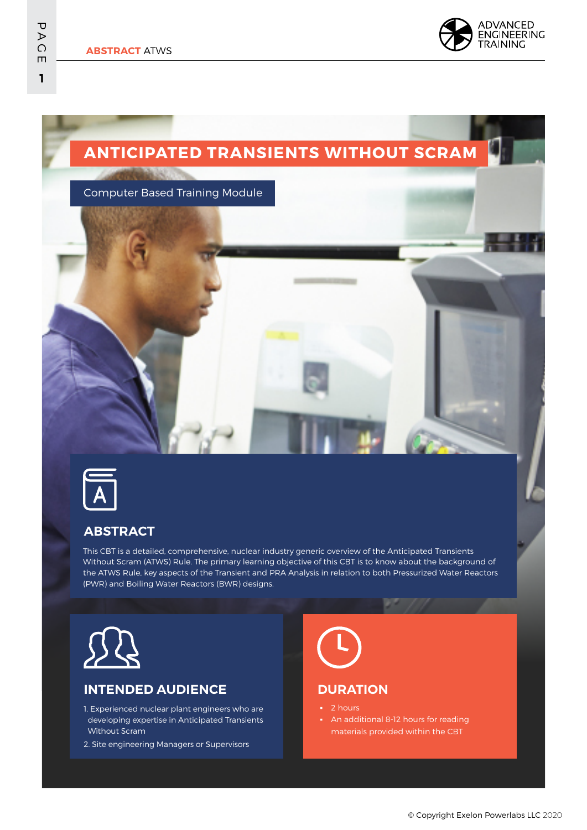# **ANTICIPATED TRANSIENTS WITHOUT SCRAM**

Computer Based Training Module

**The Little Street** 



#### **ABSTRACT**

This CBT is a detailed, comprehensive, nuclear industry generic overview of the Anticipated Transients Without Scram (ATWS) Rule. The primary learning objective of this CBT is to know about the background of the ATWS Rule, key aspects of the Transient and PRA Analysis in relation to both Pressurized Water Reactors (PWR) and Boiling Water Reactors (BWR) designs.



#### **INTENDED AUDIENCE**

- 1. Experienced nuclear plant engineers who are developing expertise in Anticipated Transients Without Scram
- 2. Site engineering Managers or Supervisors



#### **DURATION**

- 2 hours
- **•** An additional 8-12 hours for reading materials provided within the CBT